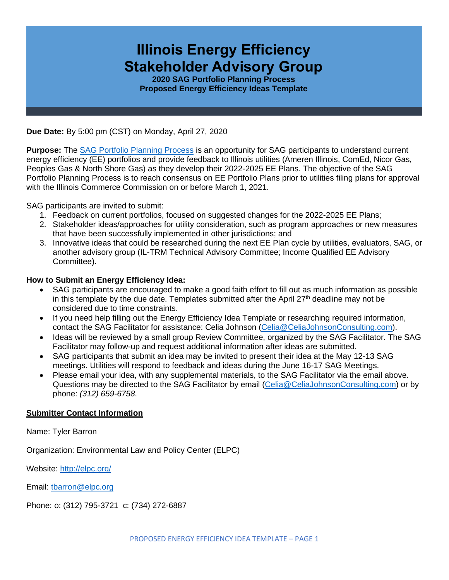# **Illinois Energy Efficiency Stakeholder Advisory Group**

**2020 SAG Portfolio Planning Process Proposed Energy Efficiency Ideas Template**

**Due Date:** By 5:00 pm (CST) on Monday, April 27, 2020

**Purpose:** The [SAG Portfolio Planning Process](https://www.ilsag.info/meetings/portfolio-planning-process/) is an opportunity for SAG participants to understand current energy efficiency (EE) portfolios and provide feedback to Illinois utilities (Ameren Illinois, ComEd, Nicor Gas, Peoples Gas & North Shore Gas) as they develop their 2022-2025 EE Plans. The objective of the SAG Portfolio Planning Process is to reach consensus on EE Portfolio Plans prior to utilities filing plans for approval with the Illinois Commerce Commission on or before March 1, 2021.

SAG participants are invited to submit:

- 1. Feedback on current portfolios, focused on suggested changes for the 2022-2025 EE Plans;
- 2. Stakeholder ideas/approaches for utility consideration, such as program approaches or new measures that have been successfully implemented in other jurisdictions; and
- 3. Innovative ideas that could be researched during the next EE Plan cycle by utilities, evaluators, SAG, or another advisory group (IL-TRM Technical Advisory Committee; Income Qualified EE Advisory Committee).

## **How to Submit an Energy Efficiency Idea:**

- SAG participants are encouraged to make a good faith effort to fill out as much information as possible in this template by the due date. Templates submitted after the April  $27<sup>th</sup>$  deadline may not be considered due to time constraints.
- If you need help filling out the Energy Efficiency Idea Template or researching required information, contact the SAG Facilitator for assistance: Celia Johnson [\(Celia@CeliaJohnsonConsulting.com\)](mailto:Celia@CeliaJohnsonConsulting.com).
- Ideas will be reviewed by a small group Review Committee, organized by the SAG Facilitator. The SAG Facilitator may follow-up and request additional information after ideas are submitted.
- SAG participants that submit an idea may be invited to present their idea at the May 12-13 SAG meetings. Utilities will respond to feedback and ideas during the June 16-17 SAG Meetings.
- Please email your idea, with any supplemental materials, to the SAG Facilitator via the email above. Questions may be directed to the SAG Facilitator by email [\(Celia@CeliaJohnsonConsulting.com\)](mailto:Celia@CeliaJohnsonConsulting.com) or by phone: *(312) 659-6758*.

## **Submitter Contact Information**

Name: Tyler Barron

Organization: Environmental Law and Policy Center (ELPC)

Website: <http://elpc.org/>

Email: [tbarron@elpc.org](mailto:tbarron@elpc.org)

Phone: o: (312) 795-3721 c: (734) 272-6887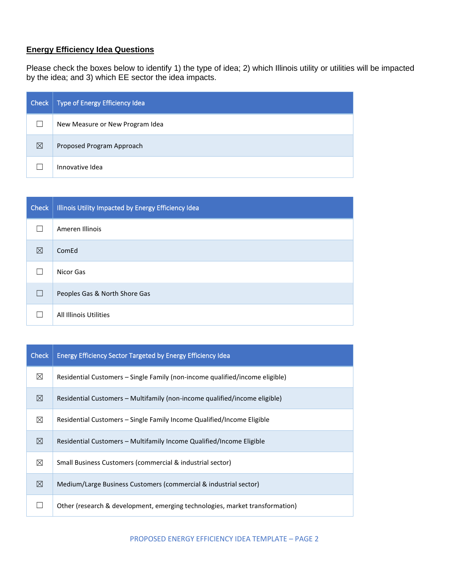## **Energy Efficiency Idea Questions**

Please check the boxes below to identify 1) the type of idea; 2) which Illinois utility or utilities will be impacted by the idea; and 3) which EE sector the idea impacts.

| <b>Check</b> | Type of Energy Efficiency Idea  |
|--------------|---------------------------------|
|              | New Measure or New Program Idea |
| ⊠            | Proposed Program Approach       |
|              | Innovative Idea                 |

| <b>Check</b> | Illinois Utility Impacted by Energy Efficiency Idea |
|--------------|-----------------------------------------------------|
|              | Ameren Illinois                                     |
| ⊠            | ComEd                                               |
|              | Nicor Gas                                           |
|              | Peoples Gas & North Shore Gas                       |
|              | All Illinois Utilities                              |

| <b>Check</b> | <b>Energy Efficiency Sector Targeted by Energy Efficiency Idea</b>           |
|--------------|------------------------------------------------------------------------------|
| ⊠            | Residential Customers – Single Family (non-income qualified/income eligible) |
| ⊠            | Residential Customers – Multifamily (non-income qualified/income eligible)   |
| ⊠            | Residential Customers – Single Family Income Qualified/Income Eligible       |
| ⊠            | Residential Customers – Multifamily Income Qualified/Income Eligible         |
| ⊠            | Small Business Customers (commercial & industrial sector)                    |
| ⊠            | Medium/Large Business Customers (commercial & industrial sector)             |
|              | Other (research & development, emerging technologies, market transformation) |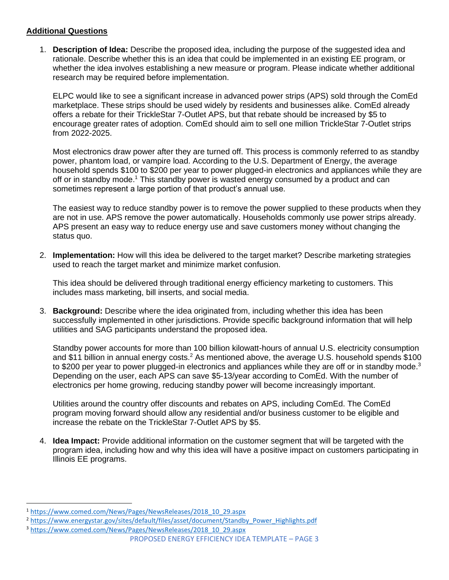## **Additional Questions**

1. **Description of Idea:** Describe the proposed idea, including the purpose of the suggested idea and rationale. Describe whether this is an idea that could be implemented in an existing EE program, or whether the idea involves establishing a new measure or program. Please indicate whether additional research may be required before implementation.

ELPC would like to see a significant increase in advanced power strips (APS) sold through the ComEd marketplace. These strips should be used widely by residents and businesses alike. ComEd already offers a rebate for their TrickleStar 7-Outlet APS, but that rebate should be increased by \$5 to encourage greater rates of adoption. ComEd should aim to sell one million TrickleStar 7-Outlet strips from 2022-2025.

Most electronics draw power after they are turned off. This process is commonly referred to as standby power, phantom load, or vampire load. According to the U.S. Department of Energy, the average household spends \$100 to \$200 per year to power plugged-in electronics and appliances while they are off or in standby mode.<sup>1</sup> This standby power is wasted energy consumed by a product and can sometimes represent a large portion of that product's annual use.

The easiest way to reduce standby power is to remove the power supplied to these products when they are not in use. APS remove the power automatically. Households commonly use power strips already. APS present an easy way to reduce energy use and save customers money without changing the status quo.

2. **Implementation:** How will this idea be delivered to the target market? Describe marketing strategies used to reach the target market and minimize market confusion.

This idea should be delivered through traditional energy efficiency marketing to customers. This includes mass marketing, bill inserts, and social media.

3. **Background:** Describe where the idea originated from, including whether this idea has been successfully implemented in other jurisdictions. Provide specific background information that will help utilities and SAG participants understand the proposed idea.

Standby power accounts for more than 100 billion kilowatt-hours of annual U.S. electricity consumption and \$11 billion in annual energy costs.<sup>2</sup> As mentioned above, the average U.S. household spends \$100 to \$200 per year to power plugged-in electronics and appliances while they are off or in standby mode.<sup>3</sup> Depending on the user, each APS can save \$5-13/year according to ComEd. With the number of electronics per home growing, reducing standby power will become increasingly important.

Utilities around the country offer discounts and rebates on APS, including ComEd. The ComEd program moving forward should allow any residential and/or business customer to be eligible and increase the rebate on the TrickleStar 7-Outlet APS by \$5.

4. **Idea Impact:** Provide additional information on the customer segment that will be targeted with the program idea, including how and why this idea will have a positive impact on customers participating in Illinois EE programs.

<sup>1</sup> [https://www.comed.com/News/Pages/NewsReleases/2018\\_10\\_29.aspx](https://www.comed.com/News/Pages/NewsReleases/2018_10_29.aspx)

<sup>&</sup>lt;sup>2</sup> [https://www.energystar.gov/sites/default/files/asset/document/Standby\\_Power\\_Highlights.pdf](https://www.energystar.gov/sites/default/files/asset/document/Standby_Power_Highlights.pdf)

PROPOSED ENERGY EFFICIENCY IDEA TEMPLATE – PAGE 3 <sup>3</sup> [https://www.comed.com/News/Pages/NewsReleases/2018\\_10\\_29.aspx](https://www.comed.com/News/Pages/NewsReleases/2018_10_29.aspx)